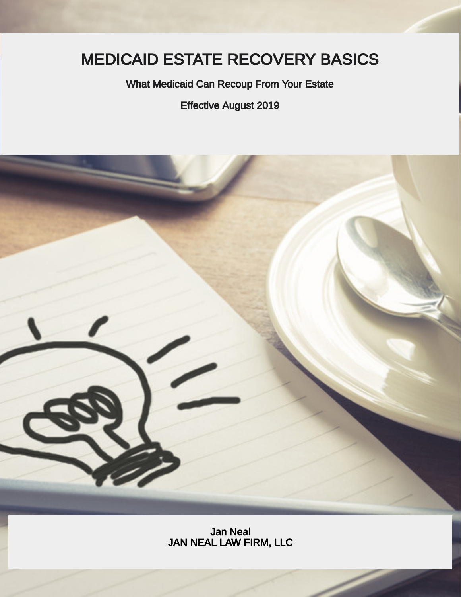# MEDICAID ESTATE RECOVERY BASICS

What Medicaid Can Recoup From Your Estate

Effective August 2019



Jan Neal JAN NEAL LAW FIRM, LLC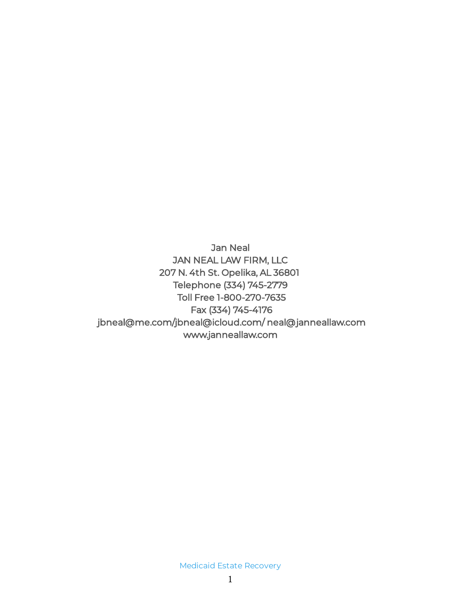Jan Neal JAN NEAL LAW FIRM, LLC 207 N. 4th St. Opelika, AL 36801 Telephone (334) 745-2779 Toll Free 1-800-270-7635 Fax (334) 745-4176 jbneal@me.com/jbneal@icloud.com/ neal@janneallaw.com www.janneallaw.com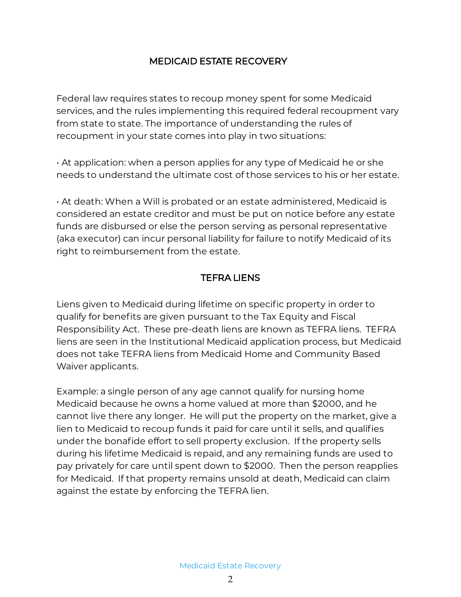#### MEDICAID ESTATE RECOVERY

Federal law requires states to recoup money spent for some Medicaid services, and the rules implementing this required federal recoupment vary from state to state. The importance of understanding the rules of recoupment in your state comes into play in two situations:

• At application: when a person applies for any type of Medicaid he or she needs to understand the ultimate cost of those services to his or her estate.

• At death: When a Will is probated or an estate administered, Medicaid is considered an estate creditor and must be put on notice before any estate funds are disbursed or else the person serving as personal representative (aka executor) can incur personal liability for failure to notify Medicaid of its right to reimbursement from the estate.

## TEFRA LIENS

Liens given to Medicaid during lifetime on specific property in order to qualify for benefits are given pursuant to the Tax Equity and Fiscal Responsibility Act. These pre-death liens are known as TEFRA liens. TEFRA liens are seen in the Institutional Medicaid application process, but Medicaid does not take TEFRA liens from Medicaid Home and Community Based Waiver applicants.

Example: a single person of any age cannot qualify for nursing home Medicaid because he owns a home valued at more than \$2000, and he cannot live there any longer. He will put the property on the market, give a lien to Medicaid to recoup funds it paid for care until it sells, and qualifies under the bonafide effort to sell property exclusion. If the property sells during his lifetime Medicaid is repaid, and any remaining funds are used to pay privately for care until spent down to \$2000. Then the person reapplies for Medicaid. If that property remains unsold at death, Medicaid can claim against the estate by enforcing the TEFRA lien.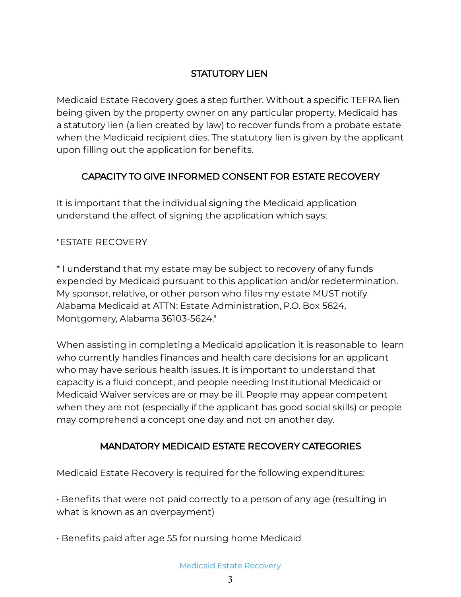## STATUTORY LIEN

Medicaid Estate Recovery goes a step further. Without a specific TEFRA lien being given by the property owner on any particular property, Medicaid has a statutory lien (a lien created by law) to recover funds from a probate estate when the Medicaid recipient dies. The statutory lien is given by the applicant upon filling out the application for benefits.

## CAPACITY TO GIVE INFORMED CONSENT FOR ESTATE RECOVERY

It is important that the individual signing the Medicaid application understand the effect of signing the application which says:

#### "ESTATE RECOVERY

\* I understand that my estate may be subject to recovery of any funds expended by Medicaid pursuant to this application and/or redetermination. My sponsor, relative, or other person who files my estate MUST notify Alabama Medicaid at ATTN: Estate Administration, P.O. Box 5624, Montgomery, Alabama 36103-5624."

When assisting in completing a Medicaid application it is reasonable to learn who currently handles finances and health care decisions for an applicant who may have serious health issues. It is important to understand that capacity is a fluid concept, and people needing Institutional Medicaid or Medicaid Waiver services are or may be ill. People may appear competent when they are not (especially if the applicant has good social skills) or people may comprehend a concept one day and not on another day.

#### MANDATORY MEDICAID ESTATE RECOVERY CATEGORIES

Medicaid Estate Recovery is required for the following expenditures:

 $\cdot$  Benefits that were not paid correctly to a person of any age (resulting in what is known as an overpayment)

 $\cdot$  Benefits paid after age 55 for nursing home Medicaid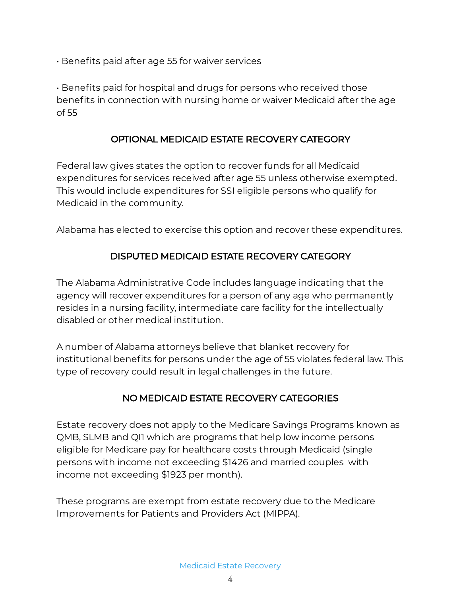$\cdot$  Benefits paid after age 55 for waiver services

 $\cdot$  Benefits paid for hospital and drugs for persons who received those benefits in connection with nursing home or waiver Medicaid after the age of 55

#### OPTIONAL MEDICAID ESTATE RECOVERY CATEGORY

Federal law gives states the option to recover funds for all Medicaid expenditures for services received after age 55 unless otherwise exempted. This would include expenditures for SSI eligible persons who qualify for Medicaid in the community.

Alabama has elected to exercise this option and recover these expenditures.

## DISPUTED MEDICAID ESTATE RECOVERY CATEGORY

The Alabama Administrative Code includes language indicating that the agency will recover expenditures for a person of any age who permanently resides in a nursing facility, intermediate care facility for the intellectually disabled or other medical institution.

A number of Alabama attorneys believe that blanket recovery for institutional benefits for persons under the age of 55 violates federal law. This type of recovery could result in legal challenges in the future.

#### NO MEDICAID ESTATE RECOVERY CATEGORIES

Estate recovery does not apply to the Medicare Savings Programs known as QMB, SLMB and QI1 which are programs that help low income persons eligible for Medicare pay for healthcare costs through Medicaid (single persons with income not exceeding \$1426 and married couples with income not exceeding \$1923 per month).

These programs are exempt from estate recovery due to the Medicare Improvements for Patients and Providers Act (MIPPA).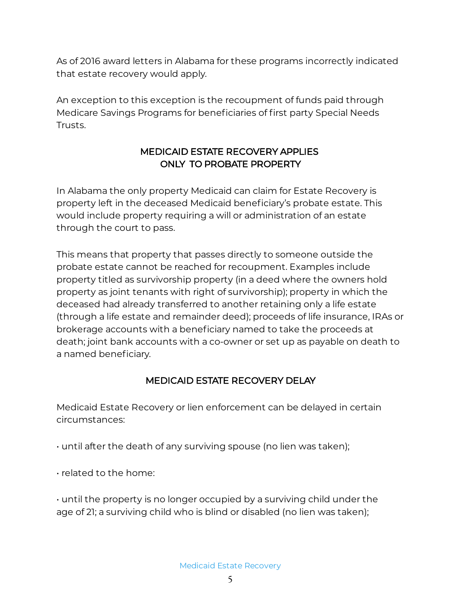As of 2016 award letters in Alabama for these programs incorrectly indicated that estate recovery would apply.

An exception to this exception is the recoupment of funds paid through Medicare Savings Programs for beneficiaries of first party Special Needs Trusts.

## MEDICAID ESTATE RECOVERY APPLIES ONLY TO PROBATE PROPERTY

In Alabama the only property Medicaid can claim for Estate Recovery is property left in the deceased Medicaid beneficiary's probate estate. This would include property requiring a will or administration of an estate through the court to pass.

This means that property that passes directly to someone outside the probate estate cannot be reached for recoupment. Examples include property titled as survivorship property (in a deed where the owners hold property as joint tenants with right of survivorship); property in which the deceased had already transferred to another retaining only a life estate (through a life estate and remainder deed); proceeds of life insurance, IRAs or brokerage accounts with a beneficiary named to take the proceeds at death; joint bank accounts with a co-owner or set up as payable on death to a named beneficiary.

# MEDICAID ESTATE RECOVERY DELAY

Medicaid Estate Recovery or lien enforcement can be delayed in certain circumstances:

- $\cdot$  until after the death of any surviving spouse (no lien was taken);
- related to the home:

• until the property is no longer occupied by a surviving child under the age of 21; a surviving child who is blind or disabled (no lien was taken);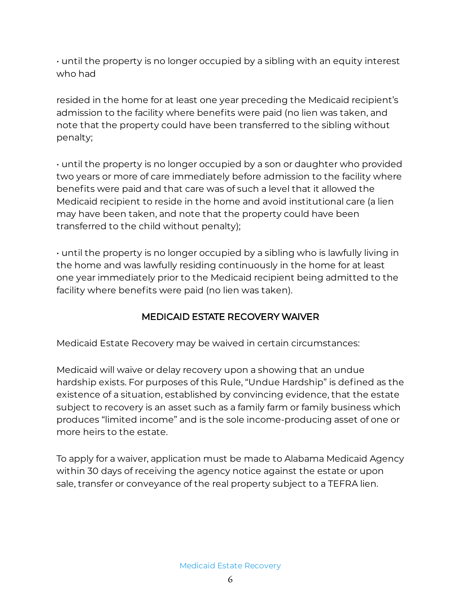• until the property is no longer occupied by a sibling with an equity interest who had

resided in the home for at least one year preceding the Medicaid recipient's admission to the facility where benefits were paid (no lien was taken, and note that the property could have been transferred to the sibling without penalty;

• until the property is no longer occupied by a son or daughter who provided two years or more of care immediately before admission to the facility where benefits were paid and that care was of such a level that it allowed the Medicaid recipient to reside in the home and avoid institutional care (a lien may have been taken, and note that the property could have been transferred to the child without penalty);

• until the property is no longer occupied by a sibling who is lawfully living in the home and was lawfully residing continuously in the home for at least one year immediately prior to the Medicaid recipient being admitted to the facility where benefits were paid (no lien was taken).

#### MEDICAID ESTATE RECOVERY WAIVER

Medicaid Estate Recovery may be waived in certain circumstances:

Medicaid will waive or delay recovery upon a showing that an undue hardship exists. For purposes of this Rule, "Undue Hardship" is defined as the existence of a situation, established by convincing evidence, that the estate subject to recovery is an asset such as a family farm or family business which produces "limited income" and is the sole income-producing asset of one or more heirs to the estate.

To apply for a waiver, application must be made to Alabama Medicaid Agency within 30 days of receiving the agency notice against the estate or upon sale, transfer or conveyance of the real property subject to a TEFRA lien.